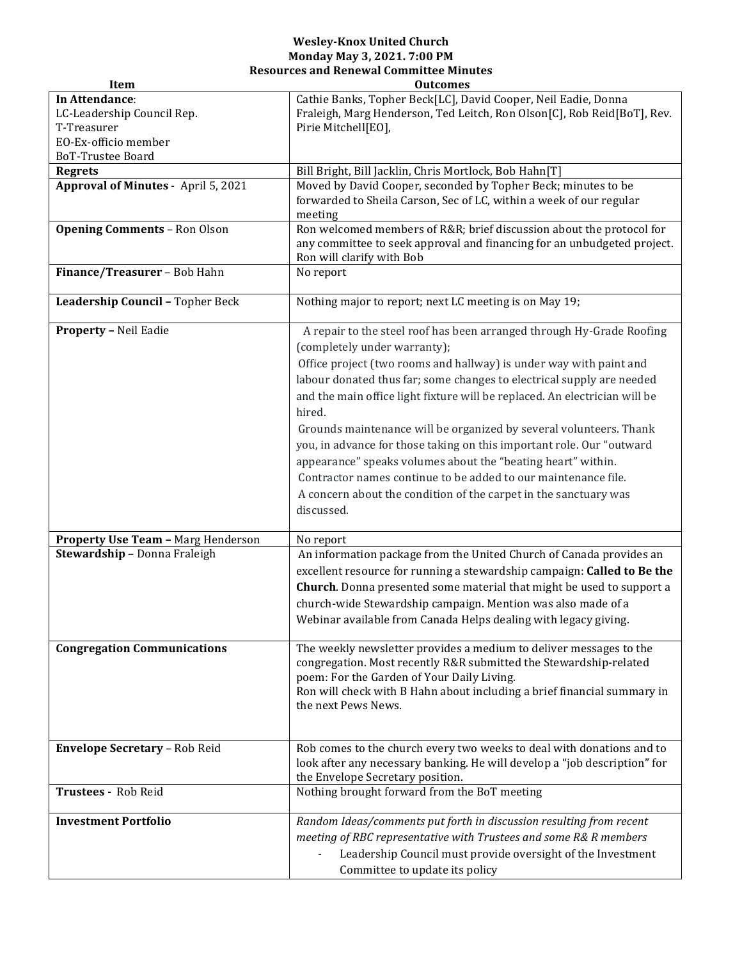## **Wesley-Knox United Church Monday May 3, 2021. 7:00 PM Resources and Renewal Committee Minutes**

| Item                                                                                                     | <b>Outcomes</b>                                                                                                                                                                                                                                                                                                                                                                                                                                                                                                                                                                                                                                                                                                 |
|----------------------------------------------------------------------------------------------------------|-----------------------------------------------------------------------------------------------------------------------------------------------------------------------------------------------------------------------------------------------------------------------------------------------------------------------------------------------------------------------------------------------------------------------------------------------------------------------------------------------------------------------------------------------------------------------------------------------------------------------------------------------------------------------------------------------------------------|
| In Attendance:<br>LC-Leadership Council Rep.<br>T-Treasurer<br>EO-Ex-officio member<br>BoT-Trustee Board | Cathie Banks, Topher Beck[LC], David Cooper, Neil Eadie, Donna<br>Fraleigh, Marg Henderson, Ted Leitch, Ron Olson[C], Rob Reid[BoT], Rev.<br>Pirie Mitchell[E0],                                                                                                                                                                                                                                                                                                                                                                                                                                                                                                                                                |
| <b>Regrets</b>                                                                                           | Bill Bright, Bill Jacklin, Chris Mortlock, Bob Hahn[T]                                                                                                                                                                                                                                                                                                                                                                                                                                                                                                                                                                                                                                                          |
| Approval of Minutes - April 5, 2021                                                                      | Moved by David Cooper, seconded by Topher Beck; minutes to be<br>forwarded to Sheila Carson, Sec of LC, within a week of our regular<br>meeting                                                                                                                                                                                                                                                                                                                                                                                                                                                                                                                                                                 |
| <b>Opening Comments - Ron Olson</b>                                                                      | Ron welcomed members of R&R brief discussion about the protocol for<br>any committee to seek approval and financing for an unbudgeted project.<br>Ron will clarify with Bob                                                                                                                                                                                                                                                                                                                                                                                                                                                                                                                                     |
| Finance/Treasurer - Bob Hahn                                                                             | No report                                                                                                                                                                                                                                                                                                                                                                                                                                                                                                                                                                                                                                                                                                       |
| Leadership Council - Topher Beck                                                                         | Nothing major to report; next LC meeting is on May 19;                                                                                                                                                                                                                                                                                                                                                                                                                                                                                                                                                                                                                                                          |
| <b>Property - Neil Eadie</b>                                                                             | A repair to the steel roof has been arranged through Hy-Grade Roofing<br>(completely under warranty);<br>Office project (two rooms and hallway) is under way with paint and<br>labour donated thus far; some changes to electrical supply are needed<br>and the main office light fixture will be replaced. An electrician will be<br>hired.<br>Grounds maintenance will be organized by several volunteers. Thank<br>you, in advance for those taking on this important role. Our "outward<br>appearance" speaks volumes about the "beating heart" within.<br>Contractor names continue to be added to our maintenance file.<br>A concern about the condition of the carpet in the sanctuary was<br>discussed. |
| Property Use Team - Marg Henderson                                                                       | No report                                                                                                                                                                                                                                                                                                                                                                                                                                                                                                                                                                                                                                                                                                       |
| Stewardship - Donna Fraleigh                                                                             | An information package from the United Church of Canada provides an<br>excellent resource for running a stewardship campaign: Called to Be the<br>Church. Donna presented some material that might be used to support a<br>church-wide Stewardship campaign. Mention was also made of a<br>Webinar available from Canada Helps dealing with legacy giving.                                                                                                                                                                                                                                                                                                                                                      |
| <b>Congregation Communications</b>                                                                       | The weekly newsletter provides a medium to deliver messages to the<br>congregation. Most recently R&R submitted the Stewardship-related<br>poem: For the Garden of Your Daily Living.<br>Ron will check with B Hahn about including a brief financial summary in<br>the next Pews News.                                                                                                                                                                                                                                                                                                                                                                                                                         |
| Envelope Secretary - Rob Reid                                                                            | Rob comes to the church every two weeks to deal with donations and to<br>look after any necessary banking. He will develop a "job description" for<br>the Envelope Secretary position.                                                                                                                                                                                                                                                                                                                                                                                                                                                                                                                          |
| Trustees - Rob Reid                                                                                      | Nothing brought forward from the BoT meeting                                                                                                                                                                                                                                                                                                                                                                                                                                                                                                                                                                                                                                                                    |
| <b>Investment Portfolio</b>                                                                              | Random Ideas/comments put forth in discussion resulting from recent<br>meeting of RBC representative with Trustees and some R& R members<br>Leadership Council must provide oversight of the Investment<br>Committee to update its policy                                                                                                                                                                                                                                                                                                                                                                                                                                                                       |